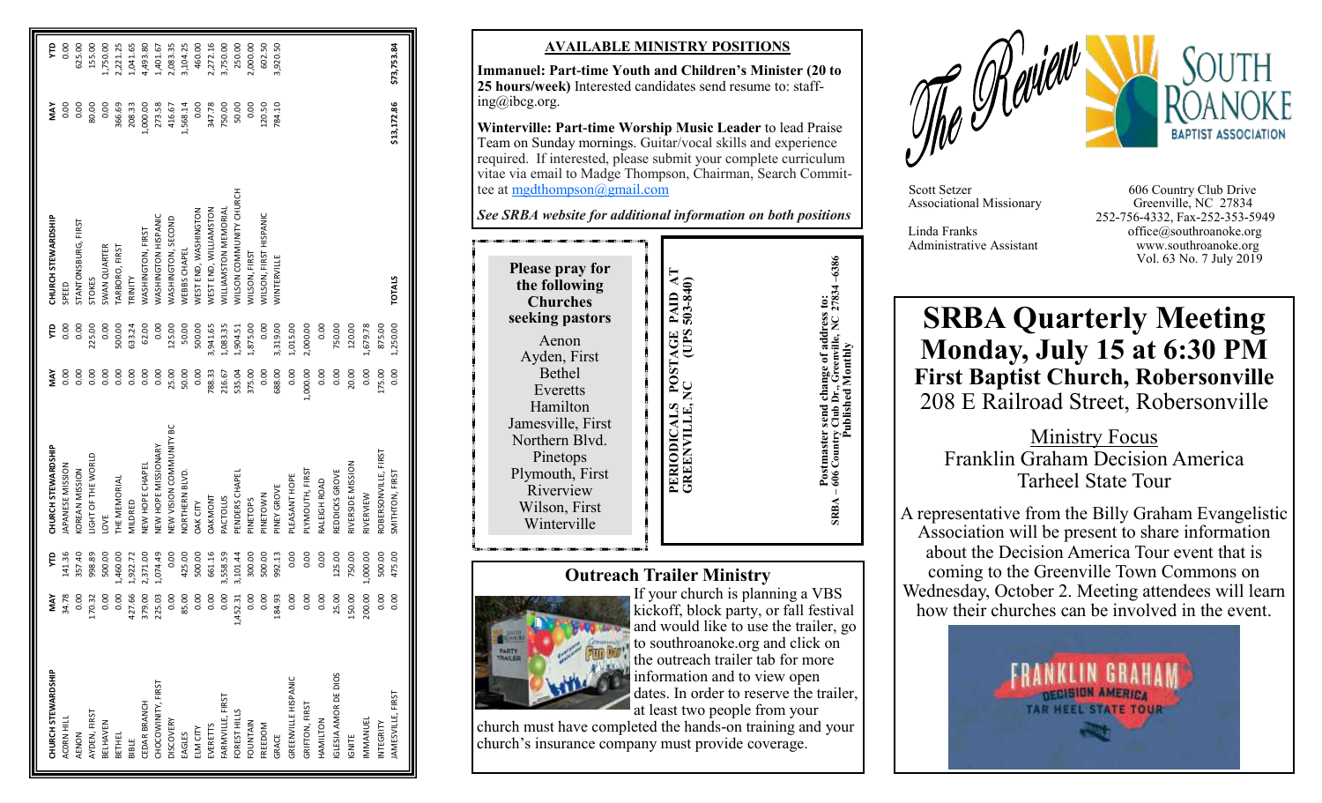| CHURCH STEWARDSHIP   | MAY      | ę        | CHURCH STEWARDSHIP             | ΜAΥ      | Ê        | CHURCH STEWARDSHIP                   | MAY         | Ê           |
|----------------------|----------|----------|--------------------------------|----------|----------|--------------------------------------|-------------|-------------|
| ACORN HILL           | 34.78    | 141.36   | <b>APANESE MISSION</b>         | 0.00     | 0.00     | SPEED                                | 0.00        | 0.00        |
| AENON                | 0.00     | 357.40   | <b>COREAN MISSION</b>          | 0.00     | 0.00     | STANTONSBURG, FIRST                  | 0.00        | 625.00      |
| AYDEN, FIRST         | 170.32   | 998.89   | <b>JIGHT OF THE WORLD</b>      | 0.00     | 225.00   | <b>STOKES</b>                        | 80.00       | 155.00      |
| <b>BELHAVEN</b>      | 0.00     | 500.00   | LOVE                           | 0.00     | 0.00     | <b>SWAN QUARTER</b>                  | 0.00        | 00.051      |
| BETHEL               | 0.00     | 1,460.00 | HE MEMORIAL                    | 0.00     | 500.00   | TARBORO, FIRST                       | 366.69      | 2,221.25    |
| BIBLE                | 427.66   | 1,922.72 | VILDRED                        | 0.00     | 633.24   | TRINITY                              | 208.33      | ,041.65     |
| CEDAR BRANCH         | 379.00   | 2,371.00 | <b>NEW HOPE CHAPEL</b>         | 0.00     | 62.00    | <b>NASHINGTON, FIRST</b>             | 1,000.00    | 4,493.80    |
| CHOCOWINITY, FIRST   | 225.03   | 1,074.49 | <b>NEW HOPE MISSIONARY</b>     | 0.00     | 0.00     | WASHINGTON HISPANIC                  | 273.58      | 1,401.67    |
| <b>DISCOVERY</b>     | 0.00     | 0.00     | <b>NEW VISION COMMUNITY BC</b> | 25.00    | 125.00   | <b>WASHINGTON, SECOND</b>            | 416.67      | 2,083.35    |
| EAGLES               | 85.00    | 425.00   | <b>VORTHERN BLVD</b>           | 50.00    | 50.00    | WEBBS CHAPEL                         | 1,568.14    | 3,104.25    |
| ELM CITY             | 0.00     | 500.00   | <b>DAK CITY</b>                | 0.00     | 500.00   | WEST END, WASHINGTON                 | 0.00        | 460.00      |
| EVERETTS             | 0.00     | 661.16   | <b>DAKMONT</b>                 | 788.33   | 3,941.65 | WEST END, WILLIAMSTON                | 347.78      | 2,272.16    |
| FARMVILLE, FIRST     | 0.00     | 3,558.59 | <b>ACTOLUS</b>                 | 216.67   | 1,083.35 | <b><i>NILLIAMSTON MEMORIAL</i></b>   | 750.00      | 3,750.00    |
| FOREST HILLS         | 1,452.31 | 3,101.44 | ENDERS CHAPEL                  | 535.04   | 1,904.51 | <b>VILSON COMMUNITY CHURCH</b>       | 50.00       | 250.00      |
| FOUNTAIN             | 0.00     | 300.00   | <b>PINETOPS</b>                | 375.00   | 1,875.00 | <b>NILSON, FIRST</b>                 | 0.00        | 2,000.00    |
| FREEDOM              | 0.00     | 500.00   | <b>PINETOWN</b>                | 0.00     | 0.00     | <b><i>NILSON, FIRST HISPANIC</i></b> | 120.50      | 602.50      |
| GRACE                | 184.93   | 992.13   | PINEY GROVE                    | 688.00   | 3,319.00 | WINTERVILLE                          | 784.10      | 3,920.50    |
| GREENVILLE HISPANIC  | 0.00     | 0.00     | PLEASANT HOPE                  | 0.00     | 1,015.00 |                                      |             |             |
| GRIFTON, FIRST       | 0.00     | 0.00     | PLYMOUTH, FIRST                | 1,000.00 | 2,000.00 |                                      |             |             |
| HAMILTON             | 0.00     | 0.00     | RALEIGH ROAD                   | 0.00     | 0.00     |                                      |             |             |
| IGLESIA AMOR DE DIOS | 25.00    | 125.00   | REDDICKS GROVE                 | 0.00     | 750.00   |                                      |             |             |
| <b>IGNITE</b>        | 150.00   | 750.00   | RIVERSIDE MISSION              | 20.00    | 120.00   |                                      |             |             |
| IMMANUEL             | 200.00   | 1,000.00 | RIVERVIEW                      | 0.00     | 1,679.78 |                                      |             |             |
| INTEGRITY            | 0.00     | 500.00   | ROBERSONVILLE, FIRST           | 175.00   | 875.00   |                                      |             |             |
| JAMESVILLE, FIRST    | 0.00     | 475.00   | SMITHTON, FIRST                | 0.00     | 1,250.00 | <b>TOTALS</b>                        | \$13,172.86 | \$73,753.84 |

#### **AVAILABLE MINISTRY POSITIONS**

**Immanuel: Part -time Youth and Children's Minister (20 to 25 hours/week)** Interested candidates send resume to: staffing@ibcg.org.

**Winterville: Part -time Worship Music Leader** to lead Praise Team on Sunday mornings. Guitar/vocal skills and experience required. If interested, please submit your complete curriculum vitae via email to Madge Thompson, Chairman, Search Committee at [mgdthompson@gmail.com](mailto:mgdthompson@gmail.com)

*See SRBA website for additional information on both positions*

## **Outreach Trailer Ministry**



If your church is planning a VBS kickoff, block party, or fall festival and would like to use the trailer, go to southroanoke.org and click on the outreach trailer tab for more information and to view open dates. In order to reserve the trailer, at least two people from your

church must have completed the hands -on training and your church's insurance company must provide coverage.



Associational Missionary

Scott Setzer 606 Country Club Drive<br>Associational Missionary Greenville, NC 27834 252 -756 -4332, Fax -252 -353 -5949 Linda Franks office@southroanoke.org Administrative Assistant www.southroanoke.org Vol. 63 No. 7 July 2019

# **SRBA Quarterly Meeting Monday, July 15 at 6:30 PM First Baptist Church, Robersonville** 208 E Railroad Street, Robersonville

Ministry Focus Franklin Graham Decision America Tarheel State Tour

A representative from the Billy Graham Evangelistic Association will be present to share information about the Decision America Tour event that is coming to the Greenville Town Commons on Wednesday, October 2. Meeting attendees will learn how their churches can be involved in the event.